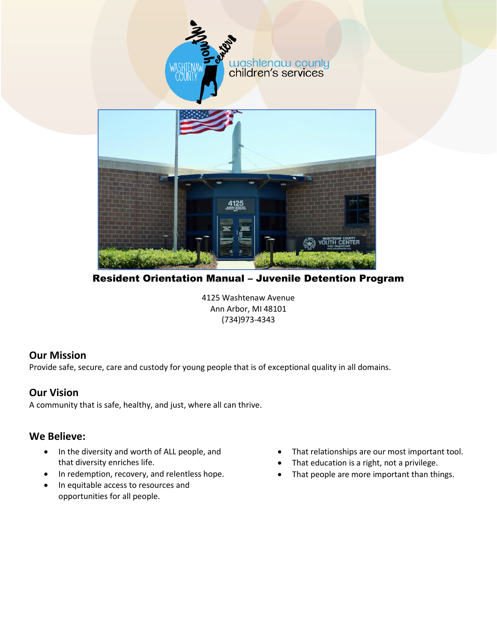

Resident Orientation Manual – Juvenile Detention Program

4125 Washtenaw Avenue Ann Arbor, MI 48101 (734)973-4343

## **Our Mission**

Provide safe, secure, care and custody for young people that is of exceptional quality in all domains.

## **Our Vision**

A community that is safe, healthy, and just, where all can thrive.

## **We Believe:**

- In the diversity and worth of ALL people, and that diversity enriches life.
- In redemption, recovery, and relentless hope.
- In equitable access to resources and opportunities for all people.
- That relationships are our most important tool.
- That education is a right, not a privilege.
- That people are more important than things.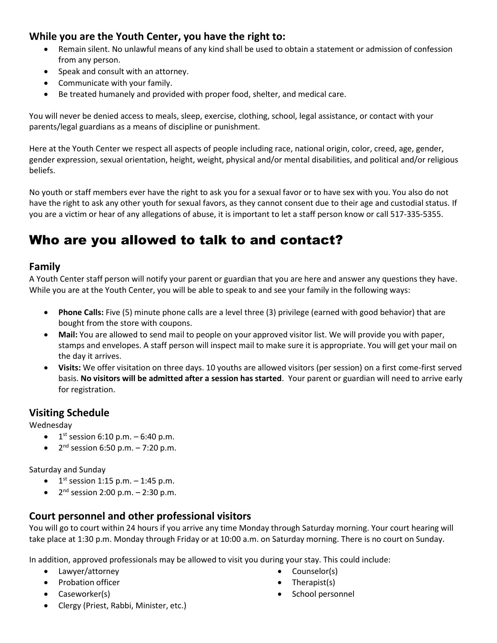## **While you are the Youth Center, you have the right to:**

- Remain silent. No unlawful means of any kind shall be used to obtain a statement or admission of confession from any person.
- Speak and consult with an attorney.
- Communicate with your family.
- Be treated humanely and provided with proper food, shelter, and medical care.

You will never be denied access to meals, sleep, exercise, clothing, school, legal assistance, or contact with your parents/legal guardians as a means of discipline or punishment.

Here at the Youth Center we respect all aspects of people including race, national origin, color, creed, age, gender, gender expression, sexual orientation, height, weight, physical and/or mental disabilities, and political and/or religious beliefs.

No youth or staff members ever have the right to ask you for a sexual favor or to have sex with you. You also do not have the right to ask any other youth for sexual favors, as they cannot consent due to their age and custodial status. If you are a victim or hear of any allegations of abuse, it is important to let a staff person know or call 517-335-5355.

## Who are you allowed to talk to and contact?

#### **Family**

A Youth Center staff person will notify your parent or guardian that you are here and answer any questions they have. While you are at the Youth Center, you will be able to speak to and see your family in the following ways:

- **Phone Calls:** Five (5) minute phone calls are a level three (3) privilege (earned with good behavior) that are bought from the store with coupons.
- **Mail:** You are allowed to send mail to people on your approved visitor list. We will provide you with paper, stamps and envelopes. A staff person will inspect mail to make sure it is appropriate. You will get your mail on the day it arrives.
- **Visits:** We offer visitation on three days. 10 youths are allowed visitors (per session) on a first come-first served basis. **No visitors will be admitted after a session has started**. Your parent or guardian will need to arrive early for registration.

## **Visiting Schedule**

Wednesday

- $\bullet$  1<sup>st</sup> session 6:10 p.m. 6:40 p.m.
- $2^{nd}$  session 6:50 p.m. 7:20 p.m.

Saturday and Sunday

- $1^{st}$  session 1:15 p.m.  $-$  1:45 p.m.
- $2^{nd}$  session 2:00 p.m. 2:30 p.m.

## **Court personnel and other professional visitors**

You will go to court within 24 hours if you arrive any time Monday through Saturday morning. Your court hearing will take place at 1:30 p.m. Monday through Friday or at 10:00 a.m. on Saturday morning. There is no court on Sunday.

In addition, approved professionals may be allowed to visit you during your stay. This could include:

- Lawyer/attorney
- Probation officer
- Caseworker(s)
- Counselor(s)
- Therapist(s)
- School personnel

• Clergy (Priest, Rabbi, Minister, etc.)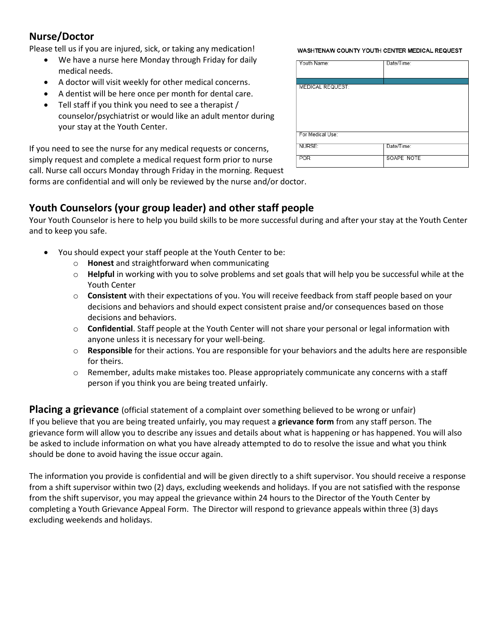## **Nurse/Doctor**

Please tell us if you are injured, sick, or taking any medication!

- We have a nurse here Monday through Friday for daily medical needs.
- A doctor will visit weekly for other medical concerns.
- A dentist will be here once per month for dental care.
- Tell staff if you think you need to see a therapist / counselor/psychiatrist or would like an adult mentor during your stay at the Youth Center.

If you need to see the nurse for any medical requests or concerns, simply request and complete a medical request form prior to nurse call. Nurse call occurs Monday through Friday in the morning. Request forms are confidential and will only be reviewed by the nurse and/or doctor.

WASHTENAW COUNTY YOUTH CENTER MEDICAL REQUEST

| Youth Name:             | Date/Time: |
|-------------------------|------------|
|                         |            |
| <b>MEDICAL REQUEST:</b> |            |
|                         |            |
|                         |            |
|                         |            |
|                         |            |
| For Medical Use:        |            |
| NURSE:                  | Date/Time: |
| <b>POR</b>              | SOAPE NOTE |

## **Youth Counselors (your group leader) and other staff people**

Your Youth Counselor is here to help you build skills to be more successful during and after your stay at the Youth Center and to keep you safe.

- You should expect your staff people at the Youth Center to be:
	- o **Honest** and straightforward when communicating
	- o **Helpful** in working with you to solve problems and set goals that will help you be successful while at the Youth Center
	- o **Consistent** with their expectations of you. You will receive feedback from staff people based on your decisions and behaviors and should expect consistent praise and/or consequences based on those decisions and behaviors.
	- o **Confidential**. Staff people at the Youth Center will not share your personal or legal information with anyone unless it is necessary for your well-being.
	- o **Responsible** for their actions. You are responsible for your behaviors and the adults here are responsible for theirs.
	- $\circ$  Remember, adults make mistakes too. Please appropriately communicate any concerns with a staff person if you think you are being treated unfairly.

**Placing a grievance** (official statement of a complaint over something believed to be wrong or unfair) If you believe that you are being treated unfairly, you may request a **grievance form** from any staff person. The grievance form will allow you to describe any issues and details about what is happening or has happened. You will also be asked to include information on what you have already attempted to do to resolve the issue and what you think should be done to avoid having the issue occur again.

The information you provide is confidential and will be given directly to a shift supervisor. You should receive a response from a shift supervisor within two (2) days, excluding weekends and holidays. If you are not satisfied with the response from the shift supervisor, you may appeal the grievance within 24 hours to the Director of the Youth Center by completing a Youth Grievance Appeal Form. The Director will respond to grievance appeals within three (3) days excluding weekends and holidays.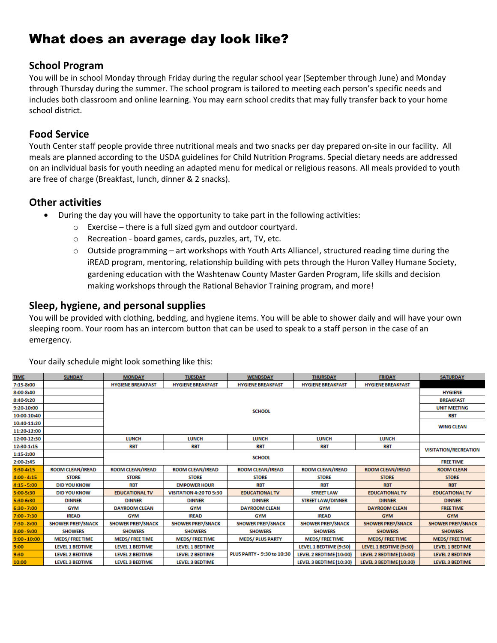## What does an average day look like?

#### **School Program**

You will be in school Monday through Friday during the regular school year (September through June) and Monday through Thursday during the summer. The school program is tailored to meeting each person's specific needs and includes both classroom and online learning. You may earn school credits that may fully transfer back to your home school district.

## **Food Service**

Youth Center staff people provide three nutritional meals and two snacks per day prepared on-site in our facility. All meals are planned according to the USDA guidelines for Child Nutrition Programs. Special dietary needs are addressed on an individual basis for youth needing an adapted menu for medical or religious reasons. All meals provided to youth are free of charge (Breakfast, lunch, dinner & 2 snacks).

## **Other activities**

- During the day you will have the opportunity to take part in the following activities:
	- o Exercise there is a full sized gym and outdoor courtyard.
	- o Recreation board games, cards, puzzles, art, TV, etc.
	- $\circ$  Outside programming art workshops with Youth Arts Alliance!, structured reading time during the iREAD program, mentoring, relationship building with pets through the Huron Valley Humane Society, gardening education with the Washtenaw County Master Garden Program, life skills and decision making workshops through the Rational Behavior Training program, and more!

## **Sleep, hygiene, and personal supplies**

You will be provided with clothing, bedding, and hygiene items. You will be able to shower daily and will have your own sleeping room. Your room has an intercom button that can be used to speak to a staff person in the case of an emergency.

| <b>TIME</b>    | <b>SUNDAY</b>            | <b>MONDAY</b>                                                                                        | <b>TUESDAY</b>                 | <b>WENDSDAY</b>                                                                  | <b>THURSDAY</b>          | <b>FRIDAY</b>            | <b>SATURDAY</b>              |
|----------------|--------------------------|------------------------------------------------------------------------------------------------------|--------------------------------|----------------------------------------------------------------------------------|--------------------------|--------------------------|------------------------------|
| 7:15-8:00      |                          | <b>HYGIENE BREAKFAST</b>                                                                             | <b>HYGIENE BREAKFAST</b>       | <b>HYGIENE BREAKFAST</b>                                                         | <b>HYGIENE BREAKFAST</b> | <b>HYGIENE BREAKFAST</b> |                              |
| 8:00-8:40      |                          |                                                                                                      |                                |                                                                                  |                          | <b>HYGIENE</b>           |                              |
| 8:40-9:20      |                          |                                                                                                      |                                |                                                                                  |                          | <b>BREAKFAST</b>         |                              |
| 9:20-10:00     |                          | <b>SCHOOL</b>                                                                                        |                                |                                                                                  |                          |                          | <b>UNIT MEETING</b>          |
| 10:00-10:40    |                          |                                                                                                      |                                |                                                                                  |                          |                          | <b>RBT</b>                   |
| 10:40-11:20    |                          |                                                                                                      |                                |                                                                                  |                          |                          | <b>WING CLEAN</b>            |
| 11:20-12:00    |                          |                                                                                                      |                                |                                                                                  |                          |                          |                              |
| 12:00-12:30    |                          | <b>LUNCH</b>                                                                                         | <b>LUNCH</b>                   | <b>LUNCH</b>                                                                     | <b>LUNCH</b>             | <b>LUNCH</b>             |                              |
| 12:30-1:15     |                          | <b>RBT</b>                                                                                           | <b>RBT</b>                     | <b>RBT</b>                                                                       | <b>RBT</b>               | <b>RBT</b>               |                              |
| 1:15-2:00      |                          |                                                                                                      |                                |                                                                                  |                          |                          | <b>VISITATION/RECREATION</b> |
| 2:00-2:45      |                          | <b>SCHOOL</b>                                                                                        |                                |                                                                                  |                          | <b>FREE TIME</b>         |                              |
| 3:30-4:15      | <b>ROOM CLEAN/IREAD</b>  | ROOM CLEAN/IREAD                                                                                     | <b>ROOM CLEAN/IREAD</b>        | ROOM CLEAN/IREAD                                                                 | <b>ROOM CLEAN/IREAD</b>  | <b>ROOM CLEAN/IREAD</b>  | <b>ROOM CLEAN</b>            |
| $4:00 - 4:15$  | <b>STORE</b>             | <b>STORE</b>                                                                                         | <b>STORE</b>                   | <b>STORE</b>                                                                     | <b>STORE</b>             | <b>STORE</b>             | <b>STORE</b>                 |
| $4:15 - 5:00$  | <b>DID YOU KNOW</b>      | <b>RBT</b>                                                                                           | <b>EMPOWER HOUR</b>            | <b>RBT</b>                                                                       | <b>RBT</b>               | <b>RBT</b>               | <b>RBT</b>                   |
| 5:00-5:30      | <b>DID YOU KNOW</b>      | <b>EDUCATIONAL TV</b>                                                                                | <b>VISITATION 4:20 TO 5:30</b> | <b>EDUCATIONAL TV</b>                                                            | <b>STREET LAW</b>        | <b>EDUCATIONAL TV</b>    | <b>EDUCATIONAL TV</b>        |
| 5:30-6:30      | <b>DINNER</b>            | <b>DINNER</b>                                                                                        | <b>DINNER</b>                  | <b>DINNER</b>                                                                    | <b>STREET LAW/DINNER</b> | <b>DINNER</b>            | <b>DINNER</b>                |
| $6:30 - 7:00$  | <b>GYM</b>               | <b>DAYROOM CLEAN</b>                                                                                 | <b>GYM</b>                     | <b>DAYROOM CLEAN</b>                                                             | <b>GYM</b>               | <b>DAYROOM CLEAN</b>     | <b>FREE TIME</b>             |
| $7:00 - 7:30$  | <b>IREAD</b>             | <b>GYM</b>                                                                                           | <b>IREAD</b>                   | <b>GYM</b>                                                                       | <b>IREAD</b>             | <b>GYM</b>               | <b>GYM</b>                   |
| $7:30 - 8:00$  | <b>SHOWER PREP/SNACK</b> | <b>SHOWER PREP/SNACK</b>                                                                             | <b>SHOWER PREP/SNACK</b>       | <b>SHOWER PREP/SNACK</b>                                                         | <b>SHOWER PREP/SNACK</b> | <b>SHOWER PREP/SNACK</b> | <b>SHOWER PREP/SNACK</b>     |
| $8:00 - 9:00$  | <b>SHOWERS</b>           | <b>SHOWERS</b>                                                                                       | <b>SHOWERS</b>                 | <b>SHOWERS</b>                                                                   | <b>SHOWERS</b>           | <b>SHOWERS</b>           | <b>SHOWERS</b>               |
| $9:00 - 10:00$ | <b>MEDS/FREETIME</b>     | <b>MEDS/FREETIME</b>                                                                                 | <b>MEDS/FREETIME</b>           | <b>MEDS/PLUS PARTY</b>                                                           | <b>MEDS/FREETIME</b>     | <b>MEDS/FREETIME</b>     | <b>MEDS/FREETIME</b>         |
| 9:00           | <b>LEVEL 1 BEDTIME</b>   | <b>LEVEL 1 BEDTIME</b><br>LEVEL 1 BEDTIME (9:30)<br><b>LEVEL 1 BEDTIME</b><br>LEVEL 1 BEDTIME (9:30) |                                | <b>LEVEL 1 BEDTIME</b>                                                           |                          |                          |                              |
| 9:30           | <b>LEVEL 2 BEDTIME</b>   | <b>LEVEL 2 BEDTIME</b>                                                                               | <b>LEVEL 2 BEDTIME</b>         | PLUS PARTY - 9:30 to 10:30<br>LEVEL 2 BEDTIME (10:00)<br>LEVEL 3 BEDTIME (10:30) |                          | LEVEL 2 BEDTIME (10:00)  | <b>LEVEL 2 BEDTIME</b>       |
| 10:00          | <b>LEVEL 3 BEDTIME</b>   | <b>LEVEL 3 BEDTIME</b>                                                                               | <b>LEVEL 3 BEDTIME</b>         |                                                                                  |                          | LEVEL 3 BEDTIME (10:30)  | <b>LEVEL 3 BEDTIME</b>       |

Your daily schedule might look something like this: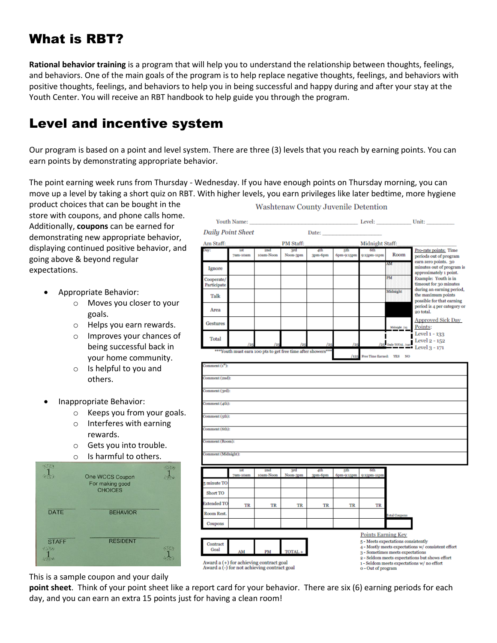## What is RBT?

**Rational behavior training** is a program that will help you to understand the relationship between thoughts, feelings, and behaviors. One of the main goals of the program is to help replace negative thoughts, feelings, and behaviors with positive thoughts, feelings, and behaviors to help you in being successful and happy during and after your stay at the Youth Center. You will receive an RBT handbook to help guide you through the program.

## Level and incentive system

Our program is based on a point and level system. There are three (3) levels that you reach by earning points. You can earn points by demonstrating appropriate behavior.

The point earning week runs from Thursday - Wednesday. If you have enough points on Thursday morning, you can move up a level by taking a short quiz on RBT. With higher levels, you earn privileges like later bedtime, more hygiene

product choices that can be bought in the store with coupons, and phone calls home. **Youth Name:** Level: Unit: Additionally, **coupons** can be earned for **Daily Point Sheet** Date: demonstrating new appropriate behavior, Am Staff **PM Staff** Midnight Staff: displaying continued positive behavior, and Pro-rate points: Time Siu<br>Noon-3pm  $3pm-6pm$ 7am-10an 10am-No 6pm-9:15p ):15pm-11pm Room periods out of program going above & beyond regular earn zero points. 30 minutes out of program is expectations. **Ignore** approximately 1 point. PM Example: Youth is in Cooperate Participate timeout for 30 minutes during an earning period, • Appropriate Behavior: the maximum points Talk possible for that earning o Moves you closer to your period is 4 per category or Area .<br>20 total. goals. **Approved Sick Day** o Helps you earn rewards. Gestures Points: Level 1 - 133 o Improves your chances of **Total** Level  $2 - 152$ 5<sup>1</sup> Daily being successful back in Level 3 - 171 Youth must earn 100 pts to get free time after sh **ree Time Earned:** YES NO your home community.  $n$ ment $(i<sup>d</sup>)$ : o Is helpful to you and  $ment(2nd):$ others. mment (3rd): • Inappropriate Behavior: nment (4th): o Keeps you from your goals. mment (5th): o Interferes with earning nment (6th): rewards. o Gets you into trouble. Is harmful to others. One WCCS Coupon For making good minute TO CHOICES Short TO tended TO TR TR TR TR TR TR **BEHAVIOR** toom Rest Coupons **Points Earning Key RESIDENT**  $\sqrt{5}$  - Meets expectations consistently Contract 4 - Mostly meets expectations w/ consistent effort Goal **TOTA** 3 - Sometimes meets expectations 2 - Seldom meets expectations but shows effort Award a (+) for achieving contract goal<br>Award a (-) for not achieving contract goal 1 - Seldom meets expectations w/ no effort o - Out of program

This is a sample coupon and your daily

 $\frac{1}{2}$ 

DATE

**STAFF** 

**point sheet**. Think of your point sheet like a report card for your behavior. There are six (6) earning periods for each day, and you can earn an extra 15 points just for having a clean room!

#### **Washtenaw County Juvenile Detention**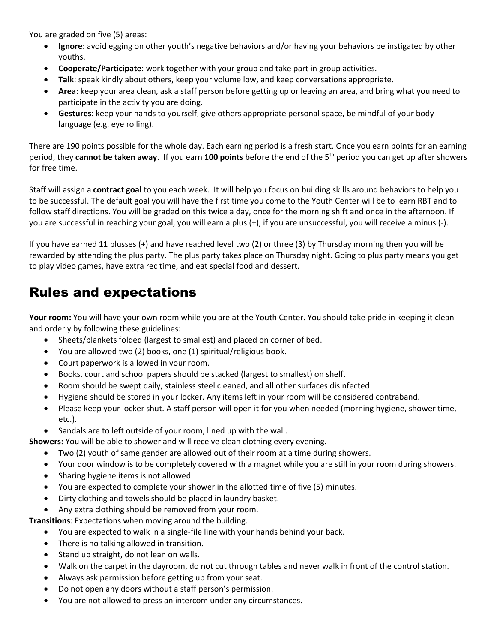You are graded on five (5) areas:

- **Ignore**: avoid egging on other youth's negative behaviors and/or having your behaviors be instigated by other youths.
- **Cooperate/Participate**: work together with your group and take part in group activities.
- **Talk**: speak kindly about others, keep your volume low, and keep conversations appropriate.
- **Area**: keep your area clean, ask a staff person before getting up or leaving an area, and bring what you need to participate in the activity you are doing.
- **Gestures**: keep your hands to yourself, give others appropriate personal space, be mindful of your body language (e.g. eye rolling).

There are 190 points possible for the whole day. Each earning period is a fresh start. Once you earn points for an earning period, they **cannot be taken away**. If you earn **100 points** before the end of the 5th period you can get up after showers for free time.

Staff will assign a **contract goal** to you each week. It will help you focus on building skills around behaviors to help you to be successful. The default goal you will have the first time you come to the Youth Center will be to learn RBT and to follow staff directions. You will be graded on this twice a day, once for the morning shift and once in the afternoon. If you are successful in reaching your goal, you will earn a plus (+), if you are unsuccessful, you will receive a minus (-).

If you have earned 11 plusses (+) and have reached level two (2) or three (3) by Thursday morning then you will be rewarded by attending the plus party. The plus party takes place on Thursday night. Going to plus party means you get to play video games, have extra rec time, and eat special food and dessert.

## Rules and expectations

**Your room:** You will have your own room while you are at the Youth Center. You should take pride in keeping it clean and orderly by following these guidelines:

- Sheets/blankets folded (largest to smallest) and placed on corner of bed.
- You are allowed two (2) books, one (1) spiritual/religious book.
- Court paperwork is allowed in your room.
- Books, court and school papers should be stacked (largest to smallest) on shelf.
- Room should be swept daily, stainless steel cleaned, and all other surfaces disinfected.
- Hygiene should be stored in your locker. Any items left in your room will be considered contraband.
- Please keep your locker shut. A staff person will open it for you when needed (morning hygiene, shower time, etc.).
- Sandals are to left outside of your room, lined up with the wall.
- **Showers:** You will be able to shower and will receive clean clothing every evening.
	- Two (2) youth of same gender are allowed out of their room at a time during showers.
	- Your door window is to be completely covered with a magnet while you are still in your room during showers.
	- Sharing hygiene items is not allowed.
	- You are expected to complete your shower in the allotted time of five (5) minutes.
	- Dirty clothing and towels should be placed in laundry basket.
	- Any extra clothing should be removed from your room.

**Transitions**: Expectations when moving around the building.

- You are expected to walk in a single-file line with your hands behind your back.
	- There is no talking allowed in transition.
	- Stand up straight, do not lean on walls.
	- Walk on the carpet in the dayroom, do not cut through tables and never walk in front of the control station.
	- Always ask permission before getting up from your seat.
	- Do not open any doors without a staff person's permission.
	- You are not allowed to press an intercom under any circumstances.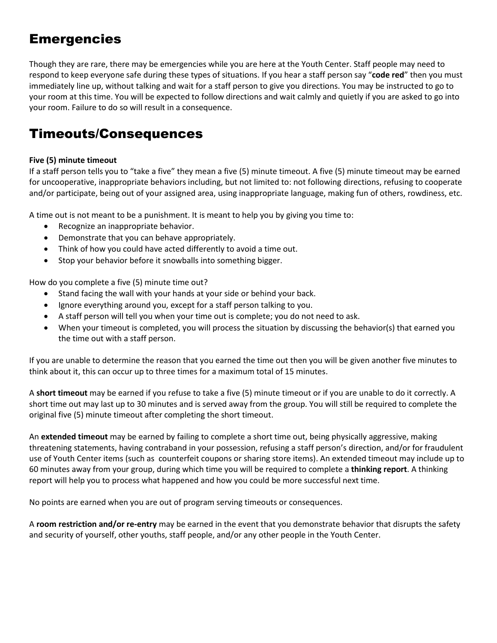## **Emergencies**

Though they are rare, there may be emergencies while you are here at the Youth Center. Staff people may need to respond to keep everyone safe during these types of situations. If you hear a staff person say "**code red**" then you must immediately line up, without talking and wait for a staff person to give you directions. You may be instructed to go to your room at this time. You will be expected to follow directions and wait calmly and quietly if you are asked to go into your room. Failure to do so will result in a consequence.

## Timeouts/Consequences

#### **Five (5) minute timeout**

If a staff person tells you to "take a five" they mean a five (5) minute timeout. A five (5) minute timeout may be earned for uncooperative, inappropriate behaviors including, but not limited to: not following directions, refusing to cooperate and/or participate, being out of your assigned area, using inappropriate language, making fun of others, rowdiness, etc.

A time out is not meant to be a punishment. It is meant to help you by giving you time to:

- Recognize an inappropriate behavior.
- Demonstrate that you can behave appropriately.
- Think of how you could have acted differently to avoid a time out.
- Stop your behavior before it snowballs into something bigger.

How do you complete a five (5) minute time out?

- Stand facing the wall with your hands at your side or behind your back.
- Ignore everything around you, except for a staff person talking to you.
- A staff person will tell you when your time out is complete; you do not need to ask.
- When your timeout is completed, you will process the situation by discussing the behavior(s) that earned you the time out with a staff person.

If you are unable to determine the reason that you earned the time out then you will be given another five minutes to think about it, this can occur up to three times for a maximum total of 15 minutes.

A **short timeout** may be earned if you refuse to take a five (5) minute timeout or if you are unable to do it correctly. A short time out may last up to 30 minutes and is served away from the group. You will still be required to complete the original five (5) minute timeout after completing the short timeout.

An **extended timeout** may be earned by failing to complete a short time out, being physically aggressive, making threatening statements, having contraband in your possession, refusing a staff person's direction, and/or for fraudulent use of Youth Center items (such as counterfeit coupons or sharing store items). An extended timeout may include up to 60 minutes away from your group, during which time you will be required to complete a **thinking report**. A thinking report will help you to process what happened and how you could be more successful next time.

No points are earned when you are out of program serving timeouts or consequences.

A **room restriction and/or re-entry** may be earned in the event that you demonstrate behavior that disrupts the safety and security of yourself, other youths, staff people, and/or any other people in the Youth Center.